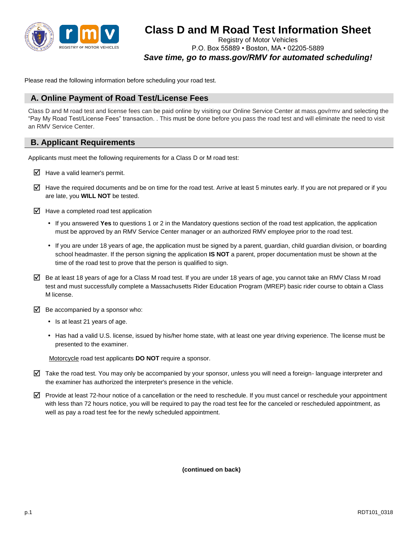

# **Class D and M Road Test Information Sheet**

Registry of Motor Vehicles P.O. Box 55889 • Boston, MA • 02205-5889 *Save time, go to mass.gov/RMV for automated scheduling!* 

Please read the following information before scheduling your road test.

# **A. Online Payment of Road Test/License Fees**

Class D and M road test and license fees can be paid online by visiting our Online Service Center at mass.gov/rmv and selecting the "Pay My Road Test/License Fees" transaction. . This must be done before you pass the road test and will eliminate the need to visit an RMV Service Center.

# **B. Applicant Requirements**

Applicants must meet the following requirements for a Class D or M road test:

- $\triangledown$  Have a valid learner's permit.
- $\boxtimes$  Have the required documents and be on time for the road test. Arrive at least 5 minutes early. If you are not prepared or if you are late, you **WILL NOT** be tested.
- $\overline{\mathcal{A}}$  Have a completed road test application
	- If you answered **Yes** to questions 1 or 2 in the Mandatory questions section of the road test application, the application must be approved by an RMV Service Center manager or an authorized RMV employee prior to the road test.
	- If you are under 18 years of age, the application must be signed by a parent, guardian, child guardian division, or boarding school headmaster. If the person signing the application **IS NOT** a parent, proper documentation must be shown at the time of the road test to prove that the person is qualified to sign.
- $\boxtimes$  Be at least 18 years of age for a Class M road test. If you are under 18 years of age, you cannot take an RMV Class M road test and must successfully complete a Massachusetts Rider Education Program (MREP) basic rider course to obtain a Class M license.
- $\triangledown$  Be accompanied by a sponsor who:
	- Is at least 21 years of age.
	- Has had a valid U.S. license, issued by his/her home state, with at least one year driving experience. The license must be presented to the examiner.

Motorcycle road test applicants **DO NOT** require a sponsor.

- $\triangledown$  Take the road test. You may only be accompanied by your sponsor, unless you will need a foreign- language interpreter and the examiner has authorized the interpreter's presence in the vehicle.
- $\Psi$  Provide at least 72-hour notice of a cancellation or the need to reschedule. If you must cancel or reschedule your appointment with less than 72 hours notice, you will be required to pay the road test fee for the canceled or rescheduled appointment, as well as pay a road test fee for the newly scheduled appointment.

**(continued on back)**